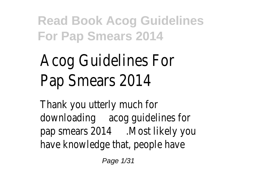# Acog Guidelines For Pap Smears 201

Thank you utterly much for downloading acog quidelines for pap smears 2014 ast likely you have knowledge that, people ha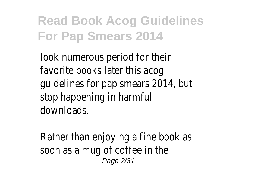look numerous period for the favorite books later this ac quidelines for pap smears 2014, b stop happening in harmf downloads.

Rather than enjoying a fine book soon as a mug of coffee in the Page 2/31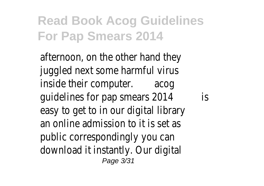afternoon, on the other hand the juggled next some harmful vir inside their computer cog guidelines for pap smears 2016 easy to get to in our digital library an online admission to it is set public correspondingly you can download it instantly. Our digital Page 3/31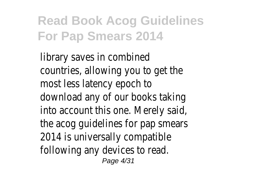library saves in combine countries, allowing you to get to most less latency epoch download any of our books taking into account this one. Merely said the acog guidelines for pap smear 2014 is universally compatiblefollowing any devices to rea Page 4/31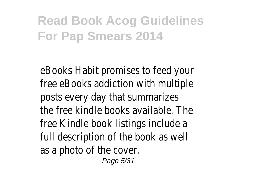eBooks Habit promises to feed your free eBooks addiction with multi posts every day that summarizes the free kindle books available. The free Kindle book listings include full description of the book as we as a photo of the cove Page 5/31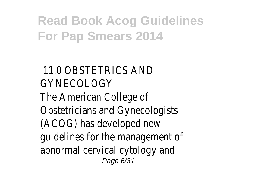#### 11.0 OBSTETRICS AND GYNECOLOGY The American College of Obstetricians and Gynecologis (ACOG) has developed new guidelines for the management abnormal cervical cytology and Page 6/31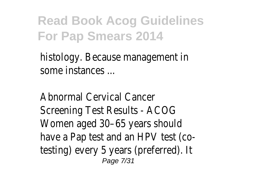histology. Because management some instances ...

Abnormal Cervical Cance Screening Test Results - ACO Women aged 30–65 years shou have a Pap test and an HPV test (o testing) every 5 years (preferred). Page 7/31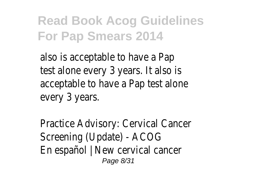also is acceptable to have a P test alone every 3 years. It also acceptable to have a Pap test ald every 3 years.

Practice Advisory: Cervical Cance Screening (Update) - ACO En español | New cervical canc Page 8/31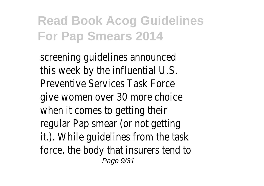screening quidelines announce this week by the influential U.S. Preventive Services Task Fore give women over 30 more choi when it comes to getting th regular Pap smear (or not getti it.). While quidelines from the ta force, the body that insurers tend Page 9/31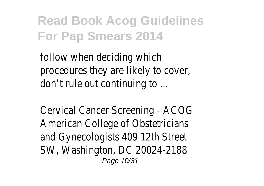follow when deciding whi procedures they are likely to cove don't rule out continuing to

Cervical Cancer Screening - ACC American College of Obstetricial and Gynecologists 409 12th Stre SW, Washington, DC 20024-2188 Page 10/31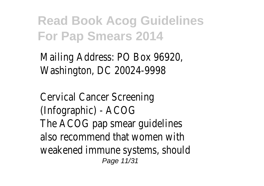Mailing Address: PO Box 96920 Washington, DC 20024-9998

Cervical Cancer Screenin (Infographic) - ACOG The ACOG pap smear quideline also recommend that women w weakened immune systems, shour Page 11/31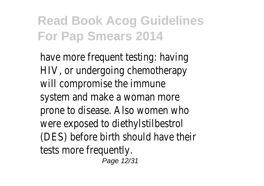have more frequent testing: have HIV, or undergoing chemothera will compromise the immun system and make a woman mo prone to disease. Also women who were exposed to diethylstilbest (DES) before birth should have the tests more frequent Page 12/31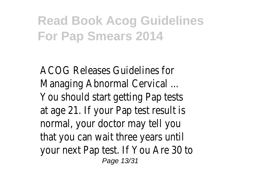ACOG Releases Guidelines for Managing Abnormal Cervical ... You should start getting Pap test at age 21. If your Pap test result normal, your doctor may tell y that you can wait three years u your next Pap test. If You Are 30 Page 13/31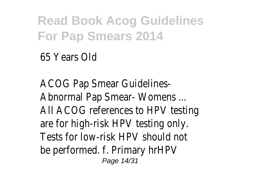65 Years Old

ACOG Pap Smear Guidelines Abnormal Pap Smear- Womens All ACOG references to HPV testing are for high-risk HPV testing or Tests for low-risk HPV should r be performed. f. Primary hrHP Page 14/31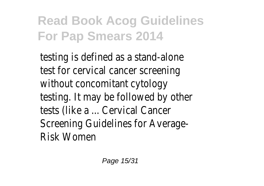testing is defined as a stand-alc test for cervical cancer screeni without concomitant cytold testing. It may be followed by other tests (like a ... Cervical Cancer Screening Guidelines for Average Risk Women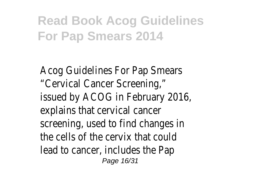Acog Guidelines For Pap Smear "Cervical Cancer Screening issued by ACOG in February 2016, explains that cervical cancer screening, used to find changes the cells of the cervix that co lead to cancer, includes the P Page 16/31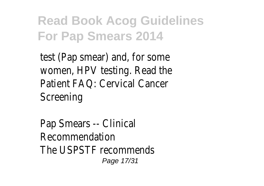test (Pap smear) and, for sor women, HPV testing. Read the Patient FAQ: Cervical Cance Screening

Pap Smears -- Clinica **Recommendation** The USPSTF recommend Page 17/31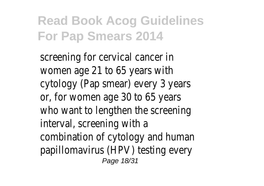screening for cervical cancer women age  $21$  to 65 years w cytology (Pap smear) every 3 years or, for women age 30 to 65 years who want to lengthen the screen interval, screening with combination of cytology and hum papillomavirus (HPV) testing eve Page 18/31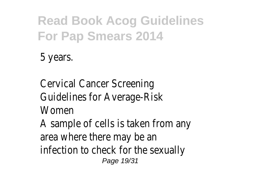5 years.

Cervical Cancer Screening Guidelines for Average-Risk Womer

A sample of cells is taken from a area where there may be infection to check for the sexual Page 19/31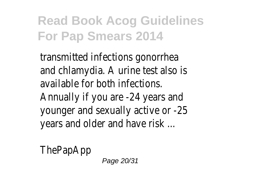transmitted infections gonorrh and chlamydia. A urine test also available for both infection Annually if you are -24 years and younger and sexually active or -2 years and older and have risk

**ThePapApp** 

Page 20/31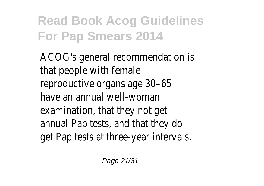ACOG's general recommendation that people with fema reproductive organs age  $30-6$ have an annual well-woma examination, that they not c annual Pap tests, and that they get Pap tests at three-year interval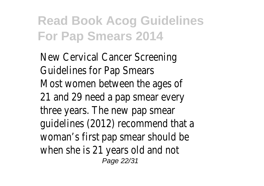New Cervical Cancer Screening Guidelines for Pap Smea Most women between the ages 21 and 29 need a pap smear every three years. The new pap sme guidelines (2012) recommend that woman's first pap smear should when she is 21 years old and r Page 22/31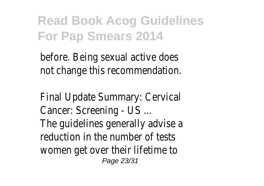before. Being sexual active does not change this recommendation.

Final Update Summary: Cervic Cancer: Screening - US ... The guidelines generally advise reduction in the number of test women get over their lifetime Page 23/31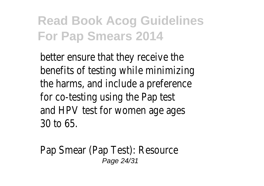better ensure that they receive benefits of testing while minimiz the harms, and include a preference for co-testing using the Pap to and HPV test for women age ad 30 to 65.

Pap Smear (Pap Test): Resoure Page 24/31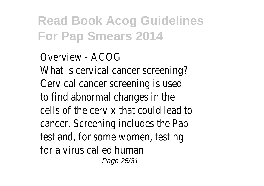Overview - ACOG What is cervical cancer screenine Cervical cancer screening is use to find abnormal changes in the cells of the cervix that could lead cancer. Screening includes the P test and, for some women, test for a virus called huma Page 25/31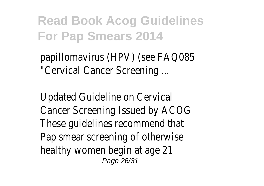papillomavirus (HPV) (see FAQ08 "Cervical Cancer Screening

Updated Guideline on Cervic Cancer Screening Issued by ACC These guidelines recommend that Pap smear screening of otherwi healthy women begin at age Page 26/31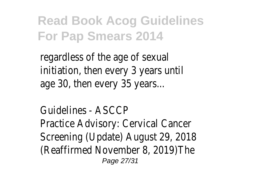regardless of the age of sexual initiation, then every 3 years ur age 30, then every 35 years.

Guidelines - ASCC Practice Advisory: Cervical Canc Screening (Update) August 29, 201 (Reaffirmed November 8, 2019)Th Page 27/31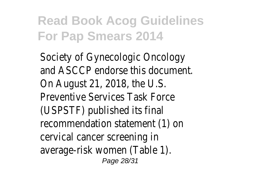Society of Gynecologic Oncolog and ASCCP endorse this documer On August 21, 2018, the U.S. Preventive Services Task Ford (USPSTF) published its finally recommendation statement (1) cervical cancer screening average-risk women (Table 1). Page 28/31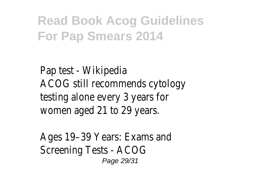Pap test - Wikipedia ACOG still recommends cytology testing alone every 3 years for women aged 21 to 29 year

Ages 19–39 Years: Exams an Screening Tests - ACO Page 29/31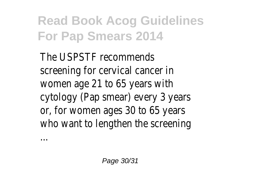The USPSTF recommend screening for cervical cancer women age  $21$  to 65 years w cytology (Pap smear) every 3 years or, for women ages 30 to 65 years who want to lengthen the screen

...